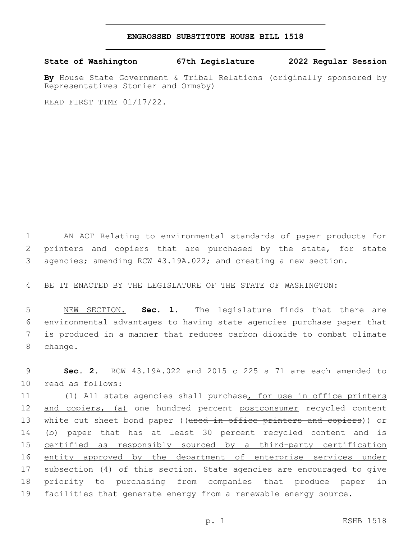## **ENGROSSED SUBSTITUTE HOUSE BILL 1518**

**State of Washington 67th Legislature 2022 Regular Session**

**By** House State Government & Tribal Relations (originally sponsored by Representatives Stonier and Ormsby)

READ FIRST TIME 01/17/22.

1 AN ACT Relating to environmental standards of paper products for 2 printers and copiers that are purchased by the state, for state 3 agencies; amending RCW 43.19A.022; and creating a new section.

4 BE IT ENACTED BY THE LEGISLATURE OF THE STATE OF WASHINGTON:

 NEW SECTION. **Sec. 1.** The legislature finds that there are environmental advantages to having state agencies purchase paper that is produced in a manner that reduces carbon dioxide to combat climate 8 change.

9 **Sec. 2.** RCW 43.19A.022 and 2015 c 225 s 71 are each amended to 10 read as follows:

11 (1) All state agencies shall purchase, for use in office printers 12 and copiers, (a) one hundred percent postconsumer recycled content 13 white cut sheet bond paper ((used in office printers and copiers)) or 14 (b) paper that has at least 30 percent recycled content and is 15 certified as responsibly sourced by a third-party certification 16 entity approved by the department of enterprise services under 17 subsection (4) of this section. State agencies are encouraged to give 18 priority to purchasing from companies that produce paper in 19 facilities that generate energy from a renewable energy source.